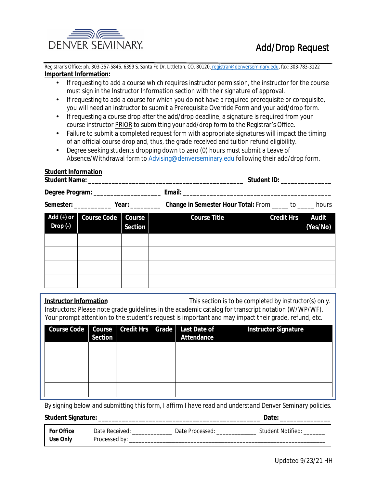

Registrar's Office: ph. 303-357-5845, 6399 S. Santa Fe Dr. Littleton, CO. 80120, registrar@denverseminary.edu, fax: 303-783-3122 **Important Information:** 

- If requesting to add a course which requires instructor permission, the instructor for the course must sign in the Instructor Information section with their signature of approval.
- If requesting to add a course for which you do not have a required prerequisite or corequisite, you will need an instructor to submit a Prerequisite Override Form and your add/drop form.
- If requesting a course drop after the add/drop deadline, a signature is required from your course instructor PRIOR to submitting your add/drop form to the Registrar's Office.
- Failure to submit a completed request form with appropriate signatures will impact the timing of an official course drop and, thus, the grade received and tuition refund eligibility.

**Example 2018** Student **ID**:

• Degree seeking students dropping down to zero (0) hours must submit a Leave of Absence/Withdrawal form to Advising@denverseminary.edu following their add/drop form.

# **Student Information**

**Student Name:** 

|                                                   | Degree Program: __________________ |                                 | Email:                                                          |                   |                          |
|---------------------------------------------------|------------------------------------|---------------------------------|-----------------------------------------------------------------|-------------------|--------------------------|
|                                                   | Semester: <u>Nearly Year:</u>      |                                 | <b>Change in Semester Hour Total: From _____ to _____ hours</b> |                   |                          |
| Add $(+)$ or<br>$\textbf{Drop}\left(\cdot\right)$ | <b>Course Code</b>                 | <b>Course</b><br><b>Section</b> | <b>Course Title</b>                                             | <b>Credit Hrs</b> | <b>Audit</b><br>(Yes/No) |
|                                                   |                                    |                                 |                                                                 |                   |                          |
|                                                   |                                    |                                 |                                                                 |                   |                          |
|                                                   |                                    |                                 |                                                                 |                   |                          |
|                                                   |                                    |                                 |                                                                 |                   |                          |

| <b>Instructor Information</b>                                                                        | This section is to be completed by instructor(s) only. |
|------------------------------------------------------------------------------------------------------|--------------------------------------------------------|
| Instructors: Please note grade guidelines in the academic catalog for transcript notation (W/WP/WF). |                                                        |
| Your prompt attention to the student's request is important and may impact their grade, refund, etc. |                                                        |

| <b>Section</b> |  | Course Code   Course   Credit Hrs   Grade   Last Date of  <br><b>Attendance</b> | <b>Instructor Signature</b> |
|----------------|--|---------------------------------------------------------------------------------|-----------------------------|
|                |  |                                                                                 |                             |
|                |  |                                                                                 |                             |
|                |  |                                                                                 |                             |
|                |  |                                                                                 |                             |

By signing below and submitting this form, I affirm I have read and understand Denver Seminary policies.

| <b>For Office</b> | <b>Date Received:</b> | <b>Date Processed:</b> | <b>Student Notified:</b> |
|-------------------|-----------------------|------------------------|--------------------------|
| <b>Use Only</b>   | <b>Processed by:</b>  |                        |                          |